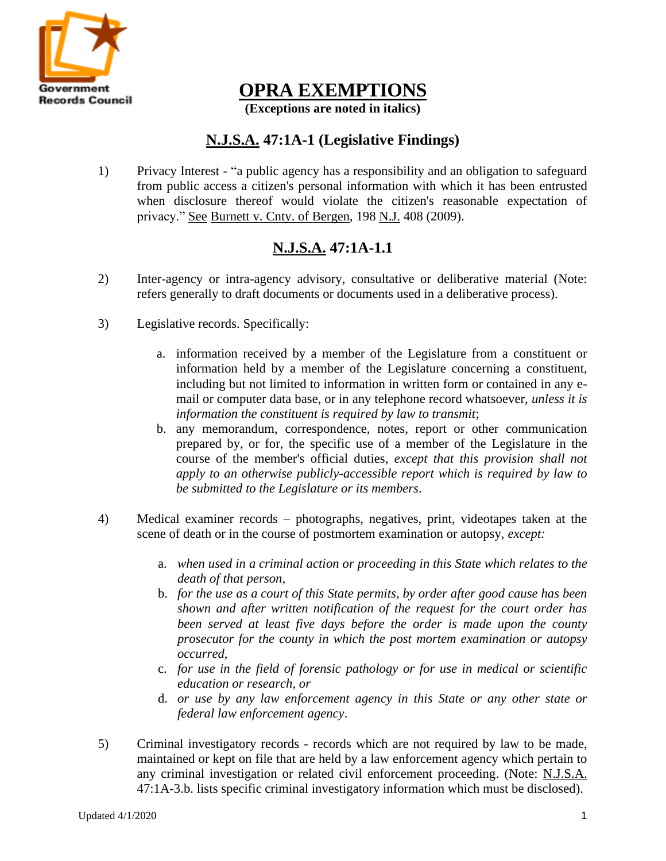

**OPRA EXEMPTIONS**

**(Exceptions are noted in italics)**

## **N.J.S.A. 47:1A-1 (Legislative Findings)**

1) Privacy Interest - "a public agency has a responsibility and an obligation to safeguard from public access a citizen's personal information with which it has been entrusted when disclosure thereof would violate the citizen's reasonable expectation of privacy." See Burnett v. Cnty. of Bergen, 198 N.J. 408 (2009).

# **N.J.S.A. 47:1A-1.1**

- 2) Inter-agency or intra-agency advisory, consultative or deliberative material (Note: refers generally to draft documents or documents used in a deliberative process).
- 3) Legislative records. Specifically:
	- a. information received by a member of the Legislature from a constituent or information held by a member of the Legislature concerning a constituent, including but not limited to information in written form or contained in any email or computer data base, or in any telephone record whatsoever, *unless it is information the constituent is required by law to transmit*;
	- b. any memorandum, correspondence, notes, report or other communication prepared by, or for, the specific use of a member of the Legislature in the course of the member's official duties, *except that this provision shall not apply to an otherwise publicly-accessible report which is required by law to be submitted to the Legislature or its members*.
- 4) Medical examiner records photographs, negatives, print, videotapes taken at the scene of death or in the course of postmortem examination or autopsy, *except:*
	- a. *when used in a criminal action or proceeding in this State which relates to the death of that person,*
	- b. *for the use as a court of this State permits, by order after good cause has been shown and after written notification of the request for the court order has been served at least five days before the order is made upon the county prosecutor for the county in which the post mortem examination or autopsy occurred,*
	- c. *for use in the field of forensic pathology or for use in medical or scientific education or research, or*
	- d. *or use by any law enforcement agency in this State or any other state or federal law enforcement agency*.
- 5) Criminal investigatory records records which are not required by law to be made, maintained or kept on file that are held by a law enforcement agency which pertain to any criminal investigation or related civil enforcement proceeding. (Note: N.J.S.A. 47:1A-3.b. lists specific criminal investigatory information which must be disclosed).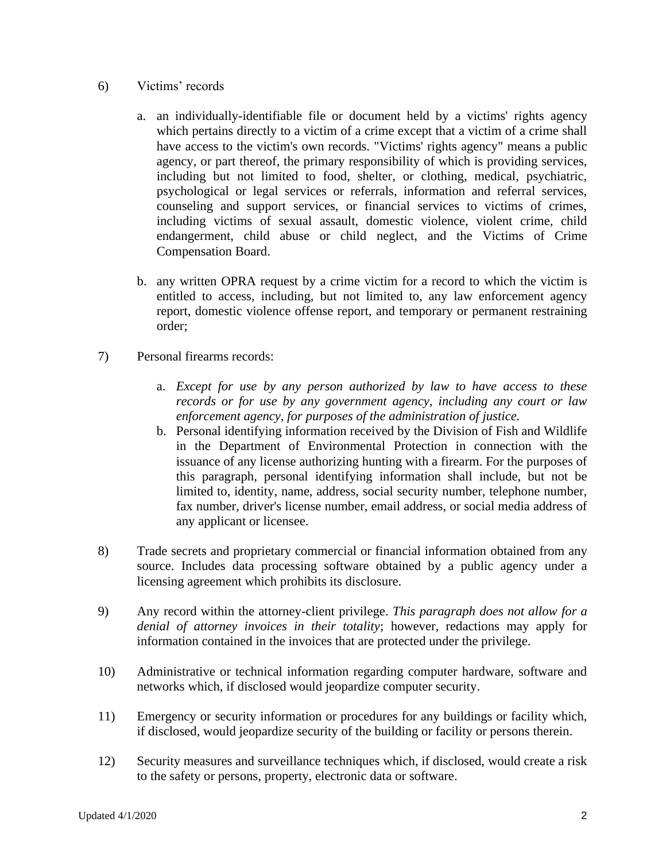#### 6) Victims' records

- a. an individually-identifiable file or document held by a victims' rights agency which pertains directly to a victim of a crime except that a victim of a crime shall have access to the victim's own records. "Victims' rights agency" means a public agency, or part thereof, the primary responsibility of which is providing services, including but not limited to food, shelter, or clothing, medical, psychiatric, psychological or legal services or referrals, information and referral services, counseling and support services, or financial services to victims of crimes, including victims of sexual assault, domestic violence, violent crime, child endangerment, child abuse or child neglect, and the Victims of Crime Compensation Board.
- b. any written OPRA request by a crime victim for a record to which the victim is entitled to access, including, but not limited to, any law enforcement agency report, domestic violence offense report, and temporary or permanent restraining order;
- 7) Personal firearms records:
	- a. *Except for use by any person authorized by law to have access to these records or for use by any government agency, including any court or law enforcement agency, for purposes of the administration of justice.*
	- b. Personal identifying information received by the Division of Fish and Wildlife in the Department of Environmental Protection in connection with the issuance of any license authorizing hunting with a firearm. For the purposes of this paragraph, personal identifying information shall include, but not be limited to, identity, name, address, social security number, telephone number, fax number, driver's license number, email address, or social media address of any applicant or licensee.
- 8) Trade secrets and proprietary commercial or financial information obtained from any source. Includes data processing software obtained by a public agency under a licensing agreement which prohibits its disclosure.
- 9) Any record within the attorney-client privilege. *This paragraph does not allow for a denial of attorney invoices in their totality*; however, redactions may apply for information contained in the invoices that are protected under the privilege.
- 10) Administrative or technical information regarding computer hardware, software and networks which, if disclosed would jeopardize computer security.
- 11) Emergency or security information or procedures for any buildings or facility which, if disclosed, would jeopardize security of the building or facility or persons therein.
- 12) Security measures and surveillance techniques which, if disclosed, would create a risk to the safety or persons, property, electronic data or software.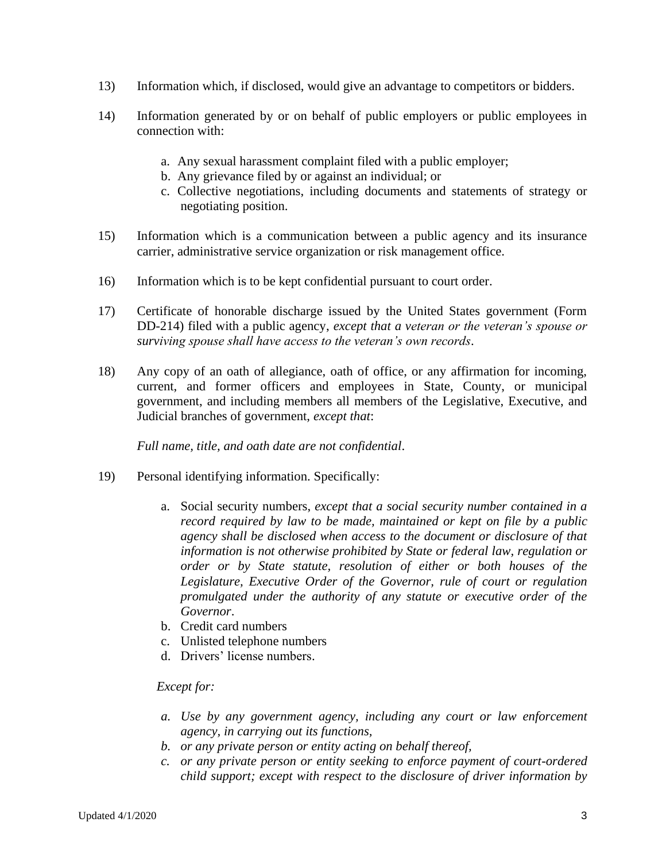- 13) Information which, if disclosed, would give an advantage to competitors or bidders.
- 14) Information generated by or on behalf of public employers or public employees in connection with:
	- a. Any sexual harassment complaint filed with a public employer;
	- b. Any grievance filed by or against an individual; or
	- c. Collective negotiations, including documents and statements of strategy or negotiating position.
- 15) Information which is a communication between a public agency and its insurance carrier, administrative service organization or risk management office.
- 16) Information which is to be kept confidential pursuant to court order.
- 17) Certificate of honorable discharge issued by the United States government (Form DD-214) filed with a public agency, *except that a veteran or the veteran's spouse or surviving spouse shall have access to the veteran's own records*.
- 18) Any copy of an oath of allegiance, oath of office, or any affirmation for incoming, current, and former officers and employees in State, County, or municipal government, and including members all members of the Legislative, Executive, and Judicial branches of government, *except that*:

*Full name, title, and oath date are not confidential*.

- 19) Personal identifying information. Specifically:
	- a. Social security numbers, *except that a social security number contained in a record required by law to be made, maintained or kept on file by a public agency shall be disclosed when access to the document or disclosure of that information is not otherwise prohibited by State or federal law, regulation or order or by State statute, resolution of either or both houses of the Legislature, Executive Order of the Governor, rule of court or regulation promulgated under the authority of any statute or executive order of the Governor*.
	- b. Credit card numbers
	- c. Unlisted telephone numbers
	- d. Drivers' license numbers.

#### *Except for:*

- *a. Use by any government agency, including any court or law enforcement agency, in carrying out its functions,*
- *b. or any private person or entity acting on behalf thereof,*
- *c. or any private person or entity seeking to enforce payment of court-ordered child support; except with respect to the disclosure of driver information by*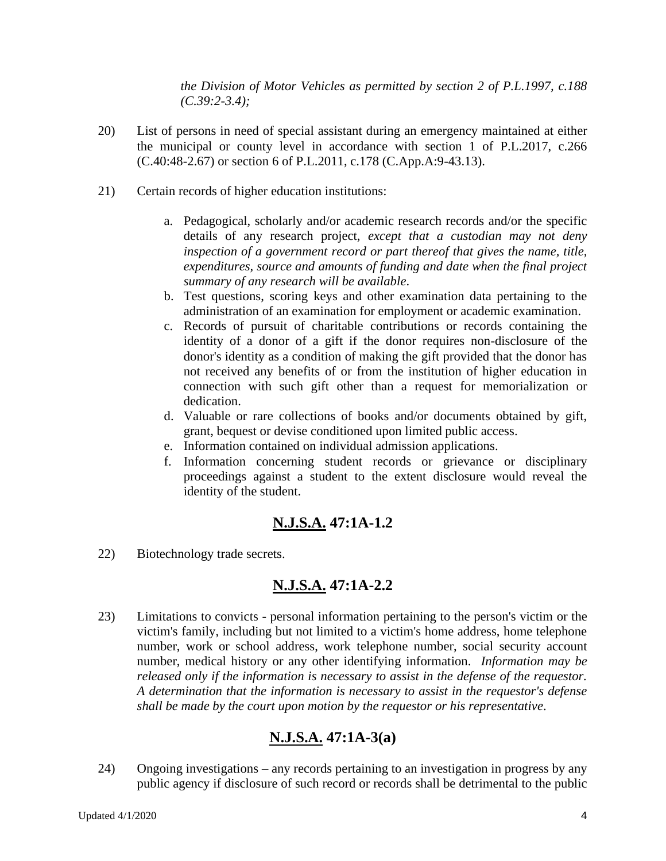*the Division of Motor Vehicles as permitted by section 2 of P.L.1997, c.188 (C.39:2-3.4);*

- 20) List of persons in need of special assistant during an emergency maintained at either the municipal or county level in accordance with section 1 of P.L.2017, c.266 (C.40:48-2.67) or section 6 of P.L.2011, c.178 (C.App.A:9-43.13).
- 21) Certain records of higher education institutions:
	- a. Pedagogical, scholarly and/or academic research records and/or the specific details of any research project, *except that a custodian may not deny inspection of a government record or part thereof that gives the name, title, expenditures, source and amounts of funding and date when the final project summary of any research will be available*.
	- b. Test questions, scoring keys and other examination data pertaining to the administration of an examination for employment or academic examination.
	- c. Records of pursuit of charitable contributions or records containing the identity of a donor of a gift if the donor requires non-disclosure of the donor's identity as a condition of making the gift provided that the donor has not received any benefits of or from the institution of higher education in connection with such gift other than a request for memorialization or dedication.
	- d. Valuable or rare collections of books and/or documents obtained by gift, grant, bequest or devise conditioned upon limited public access.
	- e. Information contained on individual admission applications.
	- f. Information concerning student records or grievance or disciplinary proceedings against a student to the extent disclosure would reveal the identity of the student.

## **N.J.S.A. 47:1A-1.2**

22) Biotechnology trade secrets.

## **N.J.S.A. 47:1A-2.2**

23) Limitations to convicts - personal information pertaining to the person's victim or the victim's family, including but not limited to a victim's home address, home telephone number, work or school address, work telephone number, social security account number, medical history or any other identifying information. *Information may be released only if the information is necessary to assist in the defense of the requestor. A determination that the information is necessary to assist in the requestor's defense shall be made by the court upon motion by the requestor or his representative*.

# **N.J.S.A. 47:1A-3(a)**

24) Ongoing investigations – any records pertaining to an investigation in progress by any public agency if disclosure of such record or records shall be detrimental to the public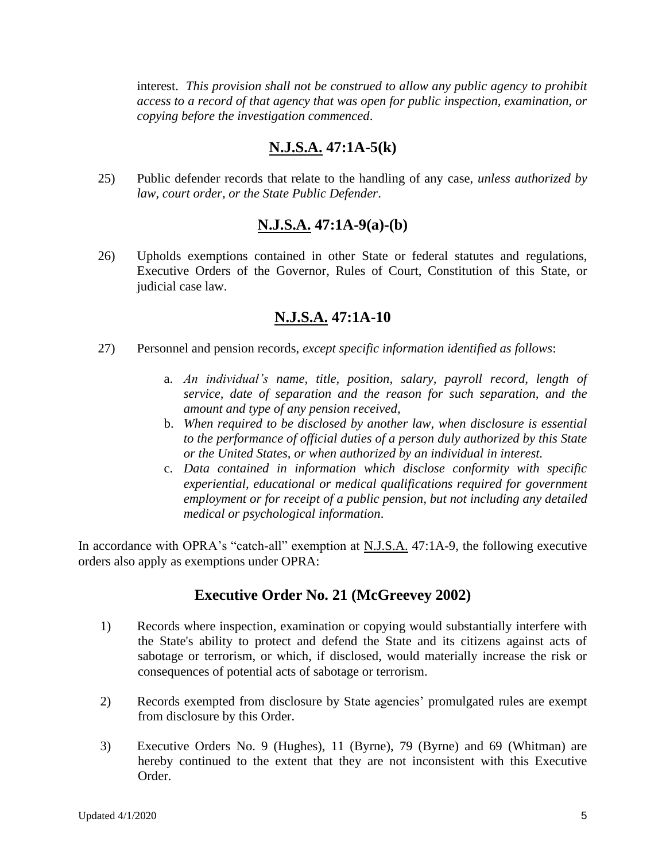interest. *This provision shall not be construed to allow any public agency to prohibit access to a record of that agency that was open for public inspection, examination, or copying before the investigation commenced*.

## **N.J.S.A. 47:1A-5(k)**

25) Public defender records that relate to the handling of any case, *unless authorized by law, court order, or the State Public Defender*.

## **N.J.S.A. 47:1A-9(a)-(b)**

26) Upholds exemptions contained in other State or federal statutes and regulations, Executive Orders of the Governor, Rules of Court, Constitution of this State, or judicial case law.

## **N.J.S.A. 47:1A-10**

- 27) Personnel and pension records, *except specific information identified as follows*:
	- a. *An individual's name, title, position, salary, payroll record, length of service, date of separation and the reason for such separation, and the amount and type of any pension received,*
	- b. *When required to be disclosed by another law, when disclosure is essential to the performance of official duties of a person duly authorized by this State or the United States, or when authorized by an individual in interest.*
	- c. *Data contained in information which disclose conformity with specific experiential, educational or medical qualifications required for government employment or for receipt of a public pension, but not including any detailed medical or psychological information*.

In accordance with OPRA's "catch-all" exemption at N.J.S.A. 47:1A-9, the following executive orders also apply as exemptions under OPRA:

## **Executive Order No. 21 (McGreevey 2002)**

- 1) Records where inspection, examination or copying would substantially interfere with the State's ability to protect and defend the State and its citizens against acts of sabotage or terrorism, or which, if disclosed, would materially increase the risk or consequences of potential acts of sabotage or terrorism.
- 2) Records exempted from disclosure by State agencies' promulgated rules are exempt from disclosure by this Order.
- 3) Executive Orders No. 9 (Hughes), 11 (Byrne), 79 (Byrne) and 69 (Whitman) are hereby continued to the extent that they are not inconsistent with this Executive Order.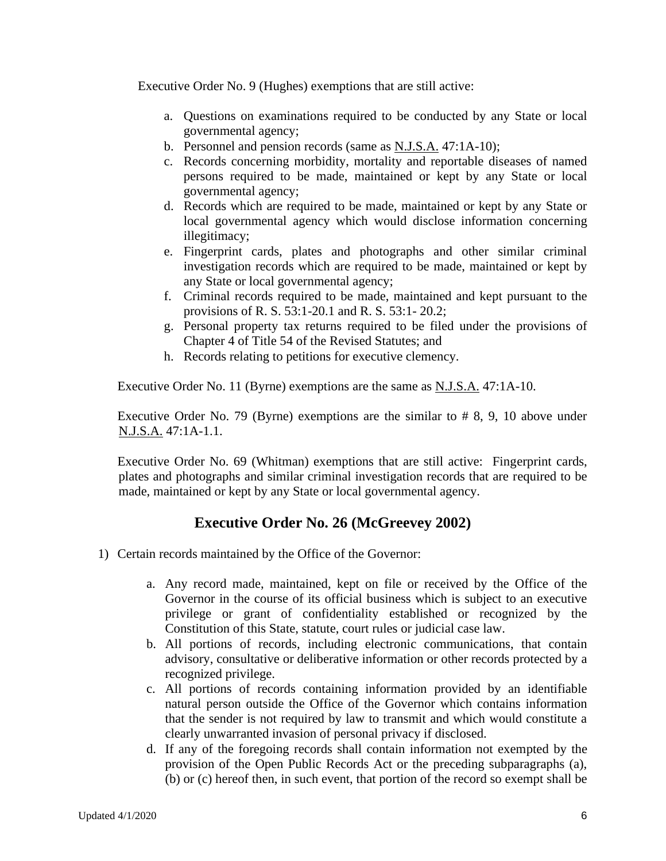Executive Order No. 9 (Hughes) exemptions that are still active:

- a. Questions on examinations required to be conducted by any State or local governmental agency;
- b. Personnel and pension records (same as N.J.S.A. 47:1A-10);
- c. Records concerning morbidity, mortality and reportable diseases of named persons required to be made, maintained or kept by any State or local governmental agency;
- d. Records which are required to be made, maintained or kept by any State or local governmental agency which would disclose information concerning illegitimacy;
- e. Fingerprint cards, plates and photographs and other similar criminal investigation records which are required to be made, maintained or kept by any State or local governmental agency;
- f. Criminal records required to be made, maintained and kept pursuant to the provisions of R. S. 53:1-20.1 and R. S. 53:1- 20.2;
- g. Personal property tax returns required to be filed under the provisions of Chapter 4 of Title 54 of the Revised Statutes; and
- h. Records relating to petitions for executive clemency.

Executive Order No. 11 (Byrne) exemptions are the same as N.J.S.A. 47:1A-10.

Executive Order No. 79 (Byrne) exemptions are the similar to # 8, 9, 10 above under N.J.S.A. 47:1A-1.1.

Executive Order No. 69 (Whitman) exemptions that are still active: Fingerprint cards, plates and photographs and similar criminal investigation records that are required to be made, maintained or kept by any State or local governmental agency.

## **Executive Order No. 26 (McGreevey 2002)**

- 1) Certain records maintained by the Office of the Governor:
	- a. Any record made, maintained, kept on file or received by the Office of the Governor in the course of its official business which is subject to an executive privilege or grant of confidentiality established or recognized by the Constitution of this State, statute, court rules or judicial case law.
	- b. All portions of records, including electronic communications, that contain advisory, consultative or deliberative information or other records protected by a recognized privilege.
	- c. All portions of records containing information provided by an identifiable natural person outside the Office of the Governor which contains information that the sender is not required by law to transmit and which would constitute a clearly unwarranted invasion of personal privacy if disclosed.
	- d. If any of the foregoing records shall contain information not exempted by the provision of the Open Public Records Act or the preceding subparagraphs (a), (b) or (c) hereof then, in such event, that portion of the record so exempt shall be